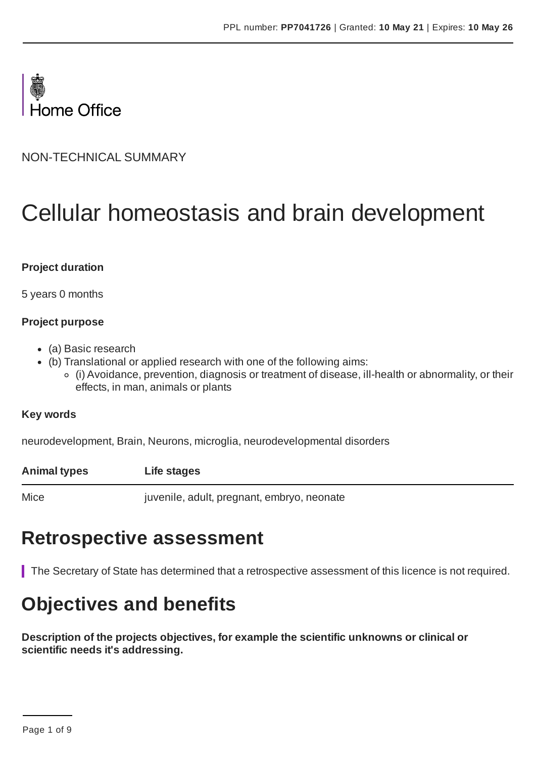

NON-TECHNICAL SUMMARY

# Cellular homeostasis and brain development

#### **Project duration**

5 years 0 months

#### **Project purpose**

- (a) Basic research
- (b) Translational or applied research with one of the following aims:
	- (i) Avoidance, prevention, diagnosis or treatment of disease, ill-health or abnormality, or their effects, in man, animals or plants

#### **Key words**

neurodevelopment, Brain, Neurons, microglia, neurodevelopmental disorders

**Animal types Life stages**

Mice juvenile, adult, pregnant, embryo, neonate

### **Retrospective assessment**

The Secretary of State has determined that a retrospective assessment of this licence is not required.

### **Objectives and benefits**

**Description of the projects objectives, for example the scientific unknowns or clinical or scientific needs it's addressing.**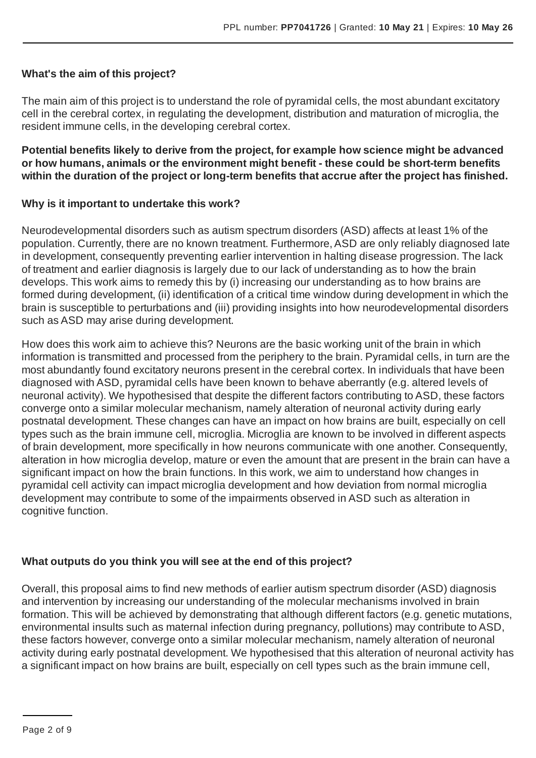#### **What's the aim of this project?**

The main aim of this project is to understand the role of pyramidal cells, the most abundant excitatory cell in the cerebral cortex, in regulating the development, distribution and maturation of microglia, the resident immune cells, in the developing cerebral cortex.

**Potential benefits likely to derive from the project, for example how science might be advanced or how humans, animals or the environment might benefit - these could be short-term benefits within the duration of the project or long-term benefits that accrue after the project has finished.**

#### **Why is it important to undertake this work?**

Neurodevelopmental disorders such as autism spectrum disorders (ASD) affects at least 1% of the population. Currently, there are no known treatment. Furthermore,ASD are only reliably diagnosed late in development, consequently preventing earlier intervention in halting disease progression. The lack of treatment and earlier diagnosis is largely due to our lack of understanding as to how the brain develops. This work aims to remedy this by (i) increasing our understanding as to how brains are formed during development, (ii) identification of a critical time window during development in which the brain is susceptible to perturbations and (iii) providing insights into how neurodevelopmental disorders such as ASD may arise during development.

How does this work aim to achieve this? Neurons are the basic working unit of the brain in which information is transmitted and processed from the periphery to the brain. Pyramidal cells, in turn are the most abundantly found excitatory neurons present in the cerebral cortex. In individuals that have been diagnosed with ASD, pyramidal cells have been known to behave aberrantly (e.g. altered levels of neuronal activity). We hypothesised that despite the different factors contributing to ASD, these factors converge onto a similar molecular mechanism, namely alteration of neuronal activity during early postnatal development. These changes can have an impact on how brains are built, especially on cell types such as the brain immune cell, microglia. Microglia are known to be involved in different aspects of brain development, more specifically in how neurons communicate with one another. Consequently, alteration in how microglia develop, mature or even the amount that are present in the brain can have a significant impact on how the brain functions. In this work, we aim to understand how changes in pyramidal cell activity can impact microglia development and how deviation from normal microglia development may contribute to some of the impairments observed in ASD such as alteration in cognitive function.

#### **What outputs do you think you will see at the end of this project?**

Overall, this proposal aims to find new methods of earlier autism spectrum disorder (ASD) diagnosis and intervention by increasing our understanding of the molecular mechanisms involved in brain formation. This will be achieved by demonstrating that although different factors (e.g. genetic mutations, environmental insults such as maternal infection during pregnancy, pollutions) may contribute to ASD, these factors however, converge onto a similar molecular mechanism, namely alteration of neuronal activity during early postnatal development. We hypothesised that this alteration of neuronal activity has a significant impact on how brains are built, especially on cell types such as the brain immune cell,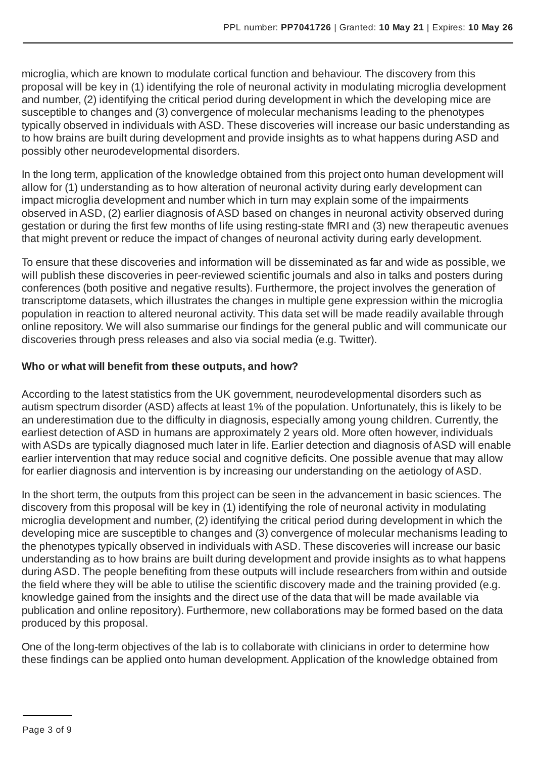microglia, which are known to modulate cortical function and behaviour. The discovery from this proposal will be key in (1) identifying the role of neuronal activity in modulating microglia development and number, (2) identifying the critical period during development in which the developing mice are susceptible to changes and (3) convergence of molecular mechanisms leading to the phenotypes typically observed in individuals with ASD. These discoveries will increase our basic understanding as to how brains are built during development and provide insights as to what happens during ASD and possibly other neurodevelopmental disorders.

In the long term, application of the knowledge obtained from this project onto human development will allow for (1) understanding as to how alteration of neuronal activity during early development can impact microglia development and number which in turn may explain some of the impairments observed in ASD, (2) earlier diagnosis ofASD based on changes in neuronal activity observed during gestation or during the first few months of life using resting-state fMRI and (3) new therapeutic avenues that might prevent or reduce the impact of changes of neuronal activity during early development.

To ensure that these discoveries and information will be disseminated as far and wide as possible, we will publish these discoveries in peer-reviewed scientific journals and also in talks and posters during conferences (both positive and negative results). Furthermore, the project involves the generation of transcriptome datasets, which illustrates the changes in multiple gene expression within the microglia population in reaction to altered neuronal activity. This data set will be made readily available through online repository. We will also summarise our findings for the general public and will communicate our discoveries through press releases and also via social media (e.g. Twitter).

#### **Who or what will benefit from these outputs, and how?**

According to the latest statistics from the UK government, neurodevelopmental disorders such as autism spectrum disorder (ASD) affects at least 1% of the population. Unfortunately, this is likely to be an underestimation due to the difficulty in diagnosis, especially among young children. Currently, the earliest detection of ASD in humans are approximately 2 years old. More often however, individuals with ASDs are typically diagnosed much later in life. Earlier detection and diagnosis of ASD will enable earlier intervention that may reduce social and cognitive deficits. One possible avenue that may allow for earlier diagnosis and intervention is by increasing our understanding on the aetiology of ASD.

In the short term, the outputs from this project can be seen in the advancement in basic sciences. The discovery from this proposal will be key in (1) identifying the role of neuronal activity in modulating microglia development and number, (2) identifying the critical period during development in which the developing mice are susceptible to changes and (3) convergence of molecular mechanisms leading to the phenotypes typically observed in individuals with ASD. These discoveries will increase our basic understanding as to how brains are built during development and provide insights as to what happens during ASD. The people benefiting from these outputs will include researchers from within and outside the field where they will be able to utilise the scientific discovery made and the training provided (e.g. knowledge gained from the insights and the direct use of the data that will be made available via publication and online repository). Furthermore, new collaborations may be formed based on the data produced by this proposal.

One of the long-term objectives of the lab is to collaborate with clinicians in order to determine how these findings can be applied onto human development. Application of the knowledge obtained from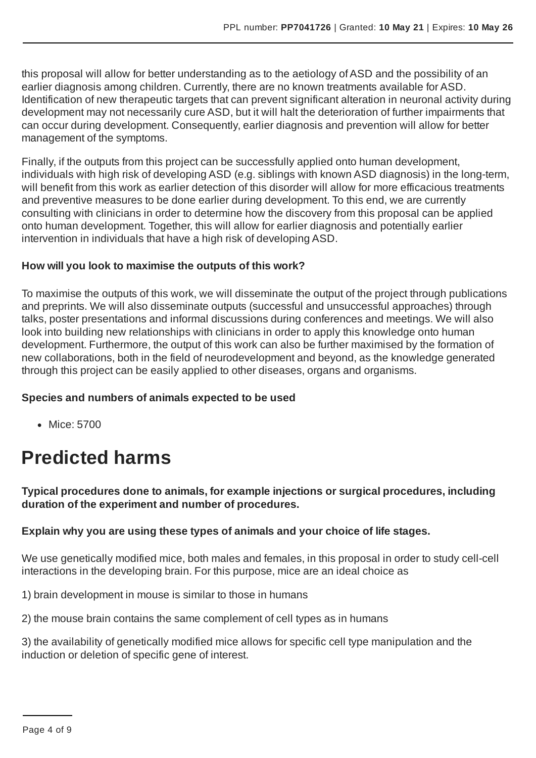this proposal will allow for better understanding as to the aetiology of ASD and the possibility of an earlier diagnosis among children. Currently, there are no known treatments available for ASD. Identification of new therapeutic targets that can prevent significant alteration in neuronal activity during development may not necessarily cure ASD, but it will halt the deterioration of further impairments that can occur during development. Consequently, earlier diagnosis and prevention will allow for better management of the symptoms.

Finally, if the outputs from this project can be successfully applied onto human development, individuals with high risk of developing ASD (e.g. siblings with known ASD diagnosis) in the long-term, will benefit from this work as earlier detection of this disorder will allow for more efficacious treatments and preventive measures to be done earlier during development. To this end, we are currently consulting with clinicians in order to determine how the discovery from this proposal can be applied onto human development. Together, this will allow for earlier diagnosis and potentially earlier intervention in individuals that have a high risk of developing ASD.

#### **How will you look to maximise the outputs of this work?**

To maximise the outputs of this work, we will disseminate the output of the project through publications and preprints. We will also disseminate outputs (successful and unsuccessful approaches) through talks, poster presentations and informal discussions during conferences and meetings. We will also look into building new relationships with clinicians in order to apply this knowledge onto human development. Furthermore, the output of this work can also be further maximised by the formation of new collaborations, both in the field of neurodevelopment and beyond, as the knowledge generated through this project can be easily applied to other diseases, organs and organisms.

#### **Species and numbers of animals expected to be used**

• Mice: 5700

## **Predicted harms**

**Typical procedures done to animals, for example injections or surgical procedures, including duration of the experiment and number of procedures.**

#### **Explain why you are using these types of animals and your choice of life stages.**

We use genetically modified mice, both males and females, in this proposal in order to study cell-cell interactions in the developing brain. For this purpose, mice are an ideal choice as

1) brain development in mouse is similar to those in humans

2) the mouse brain contains the same complement of cell types as in humans

3) the availability of genetically modified mice allows for specific cell type manipulation and the induction or deletion of specific gene of interest.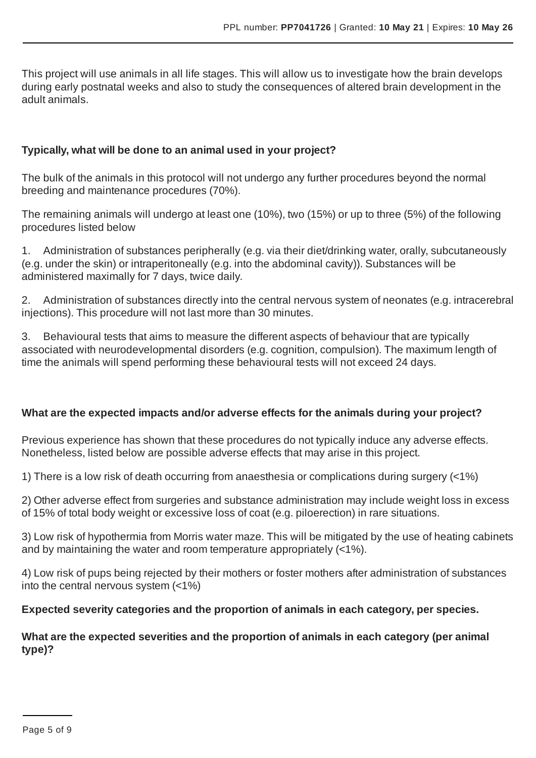This project will use animals in all life stages. This will allow us to investigate how the brain develops during early postnatal weeks and also to study the consequences of altered brain development in the adult animals.

#### **Typically, what will be done to an animal used in your project?**

The bulk of the animals in this protocol will not undergo any further procedures beyond the normal breeding and maintenance procedures (70%).

The remaining animals will undergo at least one (10%), two (15%) or up to three (5%) of the following procedures listed below

1. Administration of substances peripherally (e.g. via their diet/drinking water, orally, subcutaneously (e.g. under the skin) or intraperitoneally (e.g. into the abdominal cavity)). Substances will be administered maximally for 7 days, twice daily.

2. Administration of substances directly into the central nervous system of neonates (e.g. intracerebral injections). This procedure will not last more than 30 minutes.

3. Behavioural tests that aims to measure the different aspects of behaviour that are typically associated with neurodevelopmental disorders (e.g. cognition, compulsion). The maximum length of time the animals will spend performing these behavioural tests will not exceed 24 days.

#### **What are the expected impacts and/or adverse effects for the animals during your project?**

Previous experience has shown that these procedures do not typically induce any adverse effects. Nonetheless, listed below are possible adverse effects that may arise in this project.

1) There is a low risk of death occurring from anaesthesia or complications during surgery (<1%)

2) Other adverse effect from surgeries and substance administration may include weight loss in excess of 15% of total body weight or excessive loss of coat (e.g. piloerection) in rare situations.

3) Low risk of hypothermia from Morris water maze. This will be mitigated by the use of heating cabinets and by maintaining the water and room temperature appropriately (<1%).

4) Low risk of pups being rejected by their mothers or foster mothers after administration of substances into the central nervous system (<1%)

#### **Expected severity categories and the proportion of animals in each category, per species.**

#### **What are the expected severities and the proportion of animals in each category (per animal type)?**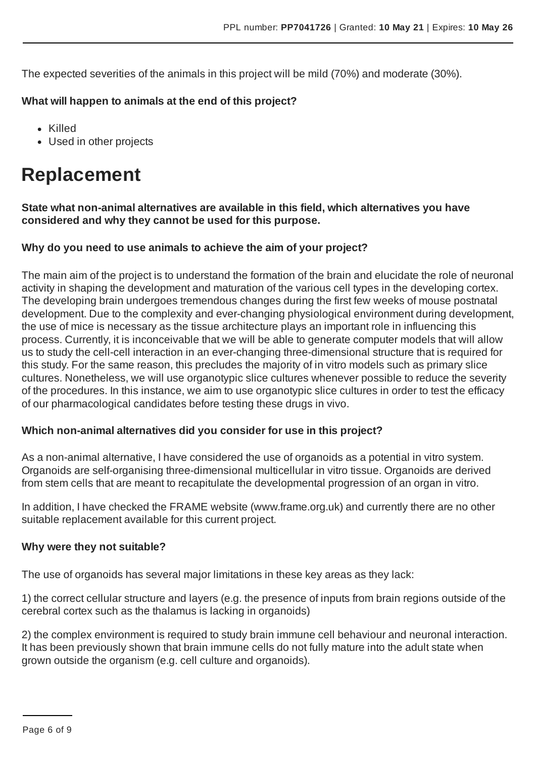The expected severities of the animals in this project will be mild (70%) and moderate (30%).

#### **What will happen to animals at the end of this project?**

- Killed
- Used in other projects

### **Replacement**

**State what non-animal alternatives are available in this field, which alternatives you have considered and why they cannot be used for this purpose.**

#### **Why do you need to use animals to achieve the aim of your project?**

The main aim of the project is to understand the formation of the brain and elucidate the role of neuronal activity in shaping the development and maturation of the various cell types in the developing cortex. The developing brain undergoes tremendous changes during the first few weeks of mouse postnatal development. Due to the complexity and ever-changing physiological environment during development, the use of mice is necessary as the tissue architecture plays an important role in influencing this process. Currently, it is inconceivable that we will be able to generate computer models that will allow us to study the cell-cell interaction in an ever-changing three-dimensional structure that is required for this study. For the same reason, this precludes the majority of in vitro models such as primary slice cultures. Nonetheless, we will use organotypic slice cultures whenever possible to reduce the severity of the procedures. In this instance, we aim to use organotypic slice cultures in order to test the efficacy of our pharmacological candidates before testing these drugs in vivo.

#### **Which non-animal alternatives did you consider for use in this project?**

As a non-animal alternative, I have considered the use of organoids as a potential in vitro system. Organoids are self-organising three-dimensional multicellular in vitro tissue. Organoids are derived from stem cells that are meant to recapitulate the developmental progression of an organ in vitro.

In addition, I have checked the FRAME website (www.frame.org.uk) and currently there are no other suitable replacement available for this current project.

#### **Why were they not suitable?**

The use of organoids has several major limitations in these key areas as they lack:

1) the correct cellular structure and layers (e.g. the presence of inputs from brain regions outside of the cerebral cortex such as the thalamus is lacking in organoids)

2) the complex environment is required to study brain immune cell behaviour and neuronal interaction. It has been previously shown that brain immune cells do not fully mature into the adult state when grown outside the organism (e.g. cell culture and organoids).

Page 6 of 9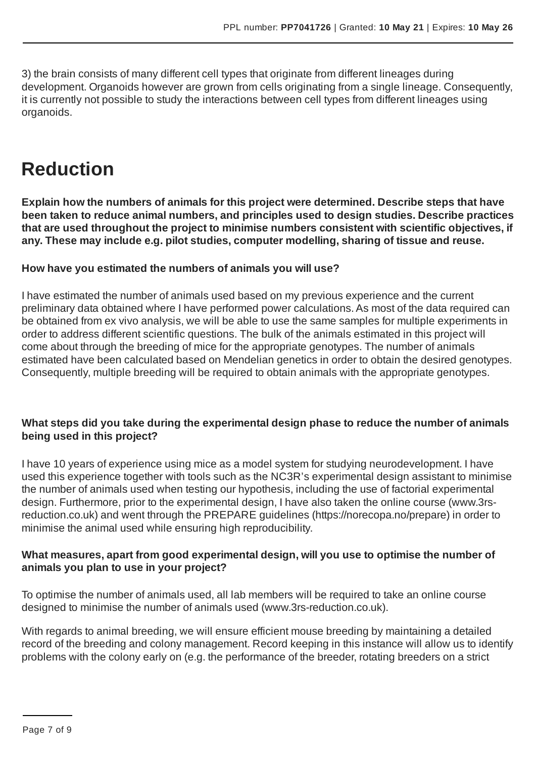3) the brain consists of many different cell types that originate from different lineages during development. Organoids however are grown from cells originating from a single lineage. Consequently, it is currently not possible to study the interactions between cell types from different lineages using organoids.

### **Reduction**

**Explain how the numbers of animals for this project were determined. Describe steps that have been taken to reduce animal numbers, and principles used to design studies. Describe practices that are used throughout the project to minimise numbers consistent with scientific objectives, if any. These may include e.g. pilot studies, computer modelling, sharing of tissue and reuse.**

#### **How have you estimated the numbers of animals you will use?**

I have estimated the number of animals used based on my previous experience and the current preliminary data obtained where I have performed power calculations. As most of the data required can be obtained from ex vivo analysis, we will be able to use the same samples for multiple experiments in order to address different scientific questions. The bulk of the animals estimated in this project will come about through the breeding of mice for the appropriate genotypes. The number of animals estimated have been calculated based on Mendelian genetics in order to obtain the desired genotypes. Consequently, multiple breeding will be required to obtain animals with the appropriate genotypes.

#### **What steps did you take during the experimental design phase to reduce the number of animals being used in this project?**

I have 10 years of experience using mice as a model system for studying neurodevelopment. I have used this experience together with tools such as the NC3R's experimental design assistant to minimise the number of animals used when testing our hypothesis, including the use of factorial experimental design. Furthermore, prior to the experimental design, I have also taken the online course (www.3rsreduction.co.uk) and went through the PREPARE guidelines (https://norecopa.no/prepare) in order to minimise the animal used while ensuring high reproducibility.

#### **What measures, apart from good experimental design, will you use to optimise the number of animals you plan to use in your project?**

To optimise the number of animals used, all lab members will be required to take an online course designed to minimise the number of animals used (www.3rs-reduction.co.uk).

With regards to animal breeding, we will ensure efficient mouse breeding by maintaining a detailed record of the breeding and colony management. Record keeping in this instance will allow us to identify problems with the colony early on (e.g. the performance of the breeder, rotating breeders on a strict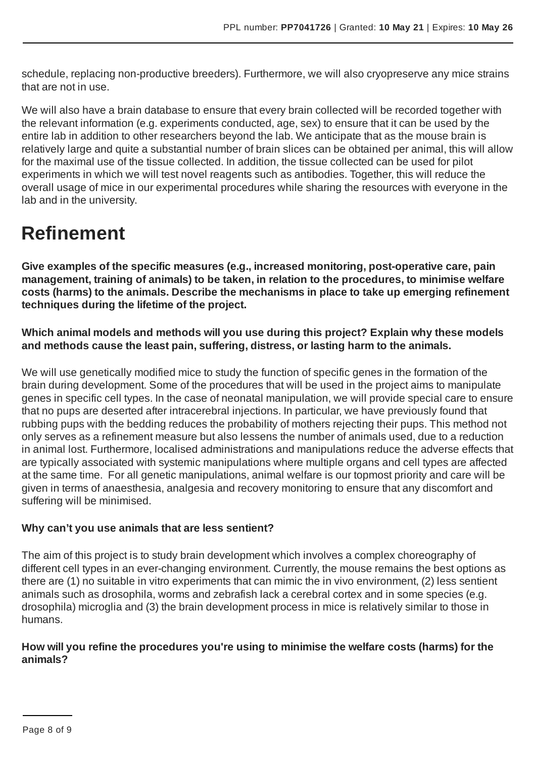schedule, replacing non-productive breeders). Furthermore, we will also cryopreserve any mice strains that are not in use.

We will also have a brain database to ensure that every brain collected will be recorded together with the relevant information (e.g. experiments conducted, age, sex) to ensure that it can be used by the entire lab in addition to other researchers beyond the lab. We anticipate that as the mouse brain is relatively large and quite a substantial number of brain slices can be obtained per animal, this will allow for the maximal use of the tissue collected. In addition, the tissue collected can be used for pilot experiments in which we will test novel reagents such as antibodies. Together, this will reduce the overall usage of mice in our experimental procedures while sharing the resources with everyone in the lab and in the university.

### **Refinement**

**Give examples of the specific measures (e.g., increased monitoring, post-operative care, pain management, training of animals) to be taken, in relation to the procedures, to minimise welfare costs (harms) to the animals. Describe the mechanisms in place to take up emerging refinement techniques during the lifetime of the project.**

**Which animal models and methods will you use during this project? Explain why these models and methods cause the least pain, suffering, distress, or lasting harm to the animals.**

We will use genetically modified mice to study the function of specific genes in the formation of the brain during development. Some of the procedures that will be used in the project aims to manipulate genes in specific cell types. In the case of neonatal manipulation, we will provide special care to ensure that no pups are deserted after intracerebral injections. In particular, we have previously found that rubbing pups with the bedding reduces the probability of mothers rejecting their pups. This method not only serves as a refinement measure but also lessens the number of animals used, due to a reduction in animal lost. Furthermore, localised administrations and manipulations reduce the adverse effects that are typically associated with systemic manipulations where multiple organs and cell types are affected at the same time. For all genetic manipulations, animal welfare is our topmost priority and care will be given in terms of anaesthesia, analgesia and recovery monitoring to ensure that any discomfort and suffering will be minimised.

#### **Why can't you use animals that are less sentient?**

The aim of this project is to study brain development which involves a complex choreography of different cell types in an ever-changing environment. Currently, the mouse remains the best options as there are (1) no suitable in vitro experiments that can mimic the in vivo environment, (2) less sentient animals such as drosophila, worms and zebrafish lack a cerebral cortex and in some species (e.g. drosophila) microglia and (3) the brain development process in mice is relatively similar to those in humans.

#### **How will you refine the procedures you're using to minimise the welfare costs (harms) for the animals?**